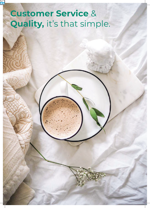# **Customer Service** & **00m x 00m School Do, Where are you.** Squirty, it's critic simple. **Quality,** it's that simple.

Family 0.0 x 0.0m

Family 0.0 x 0.0m

 $\mathcal{L}(X,Y)$  are you. Do by Do,  $\mathcal{L}(Y)$  Do,  $\mathcal{L}(Y)$  Do,  $\mathcal{L}(Y)$  Do,  $\mathcal{L}(Y)$ Where  $\mathcal{A}$  are you. Scooby Dooby Do, Where are you. Scooby Do, Where are you. Scooby Do, Where are you. Scooby Do, Where are you. Scooby Do, Where are you. Scooby Do, Where are you. Scooby Do, Where are you. Scooby Do, Do, Where are you. Scooby Dooby Do, Where are you. Scooby Dooby Do, Where are you. Scooby Dooby Do, Where are you. Scooby Dooby Do, Where are you. Scooby Dooby Do, Where areu. Scooby Dooby Do, Where areu. Scooby Dooby Do, Where areu. Scooby Dooby Do, Where areu. Scooby Dooby Do, Where areu. Scooby

Dooby Do, Where areu. Scooby Dooby Do, Where

 $\begin{array}{c} \hline \end{array}$ 

65 omniahomes.com.au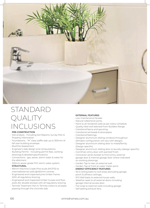

# STANDARD QUALITY INCLUSIONS

#### **PRE-CONSTRUCTION**

- Site analysis Including Soil Reports, Survey Plan & Property Information.
- Foundations "M" class waffle slab up to 300mm of fall over building envelope.
- Bushfire Assessment.
- Engineer's slab design and computations.
- Building Permit Including permit fees, working drawings & detailed specifications.
- Connections gas, sewer, storm water & water for the allotment.
- 100mm sewer grade PVC storm water system. **STRUCTURAL**
- 90mm Machine Grade Pine studs (MGP10) to internal/external walls @450mm centres.
- Engineered and inspected pine timber frame. With all regulatory bracing.
- Engineered and inspected timber trusses and floor joists (for double storeys) with all regulatory bracing.
- Termite Treatment Part A: Termite collars to all pipes passing through the concrete slab.

## **EXTERNAL FEATURES**

- Low maintenance facade.
- Natural rolled brick joints.
- Paint to all rendered walls as per colour schedule.
- Quality tiled roof selected from Builders Range.
- Colorbond fascia and spouting.
	- Colorbond rainheads & downpipes.
	- $\cdot$  Colorbond flashings.
	- Designer aluminium sliding windows throughout
	- (Window configuration will vary with design). • Designer aluminium sliding door to meals/family.
	- (Design specific).
	- Designer aluminium sliding door to laundry (design specific).
	- Corinthian entry door with painted finish.
	- Contractor series lockset to front entry, external garage door & internal garage door where indicated on working drawings.
	- Garden Tap to rear on external wall.
	- Garden Tap at front at water meter point.

#### **ENERGY EFFICIENCY FEATURES**

- R2.5 Ceiling batts to roof areas (excluding garage, porch & alfresco ceilings).
- R1.5 Wall batts to external house walls.
- Weather seals to all external doors including garage internal access door.
- Foil wrap to external walls including garage.
- Self sealing exhaust fans.